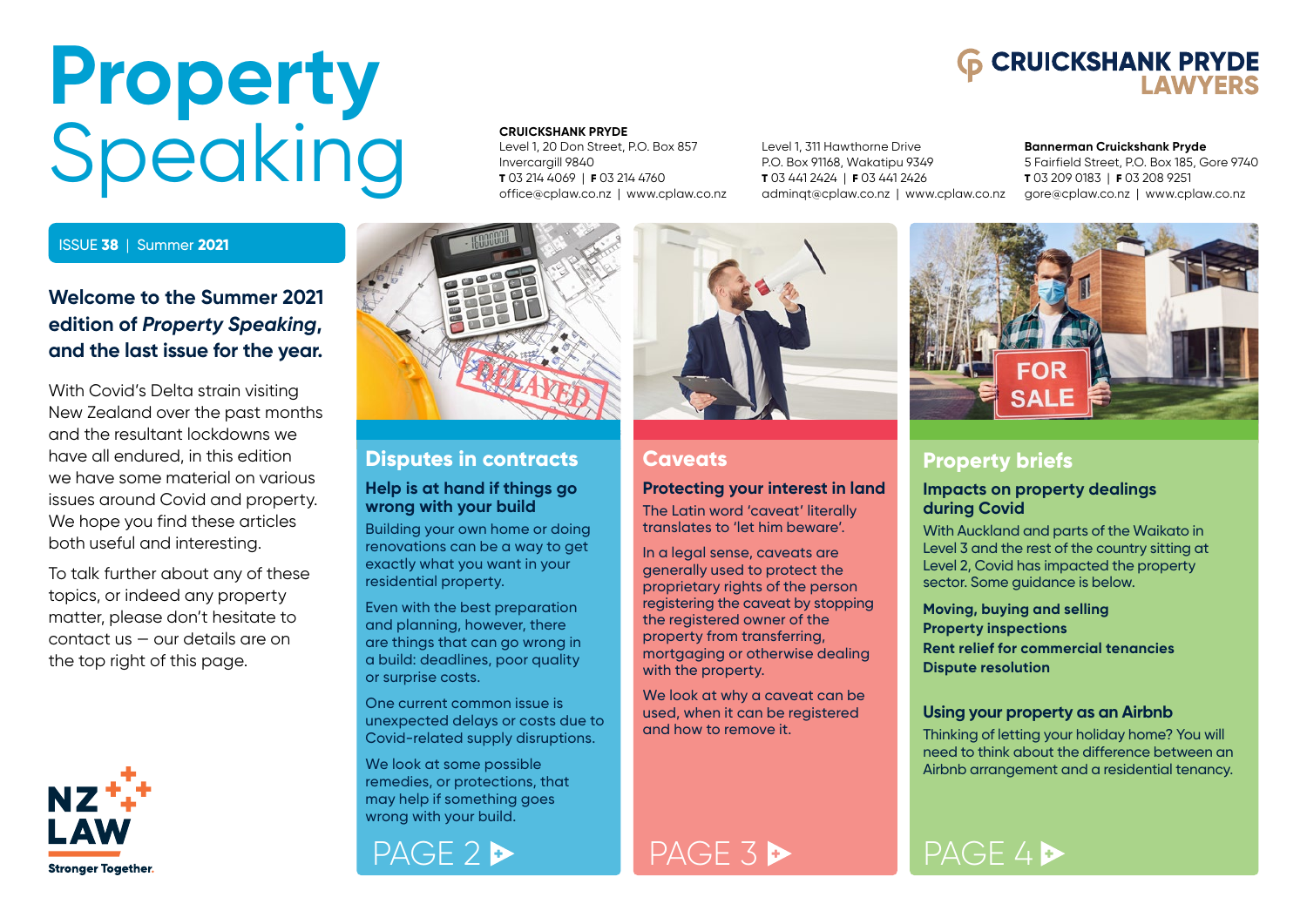# <span id="page-0-0"></span>**Property** Speaking

### ISSUE **38** | Summer **2021**

### **Welcome to the Summer 2021 edition of** *Property Speaking***, and the last issue for the year.**

With Covid's Delta strain visiting New Zealand over the past months and the resultant lockdowns we have all endured, in this edition we have some material on various issues around Covid and property. We hope you find these articles both useful and interesting.

To talk further about any of these topics, or indeed any property matter, please don't hesitate to contact us — our details are on the top right of this page.



#### **CRUICKSHANK PRYDE**

Level 1, 20 Don Street, P.O. Box 857 Invercargill 9840 **T** 03 214 4069 | **F** 03 214 4760 office@cplaw.co.nz | www.cplaw.co.nz

Level 1, 311 Hawthorne Drive P.O. Box 91168, Wakatipu 9349 **T** 03 441 2424 | **F** 03 441 2426 adminqt@cplaw.co.nz | www.cplaw.co.nz

#### **Bannerman Cruickshank Pryde**

**6 CRUICKSHANK PRYDE** 

5 Fairfield Street, P.O. Box 185, Gore 9740 **T** 03 209 0183 | **F** 03 208 9251 gore@cplaw.co.nz | www.cplaw.co.nz



### **[Disputes in contracts](#page-1-0)**

### **Help is at hand if things go wrong with your build**

Building your own home or doing renovations can be a way to get exactly what you want in your residential property.

Even with the best preparation and planning, however, there are things that can go wrong in a build: deadlines, poor quality or surprise costs.

One current common issue is unexpected delays or costs due to Covid-related supply disruptions.

We look at some possible remedies, or protections, that may help if something goes wrong with your build.





### **Caveats**

### **[Protecting your interest in land](#page-2-0)**

The Latin word 'caveat' literally translates to 'let him beware'.

In a legal sense, caveats are generally used to protect the proprietary rights of the person registering the caveat by stopping the registered owner of the property from transferring, mortgaging or otherwise dealing with the property.

We look at why a caveat can be used, when it can be registered and how to remove it.



### **Property briefs**

### **Impacts on property dealings during Covid**

With Auckland and parts of the Waikato in Level 3 and the rest of the country sitting at Level 2, Covid has impacted the property sector. Some guidance is below.

**Moving, buying and selling Property inspections Rent relief for commercial tenancies Dispute resolution**

### **Using your property as an Airbnb**

Thinking of letting your holiday home? You will [need to think about the difference between an](#page-3-0)  Airbnb arrangement and a residential tenancy.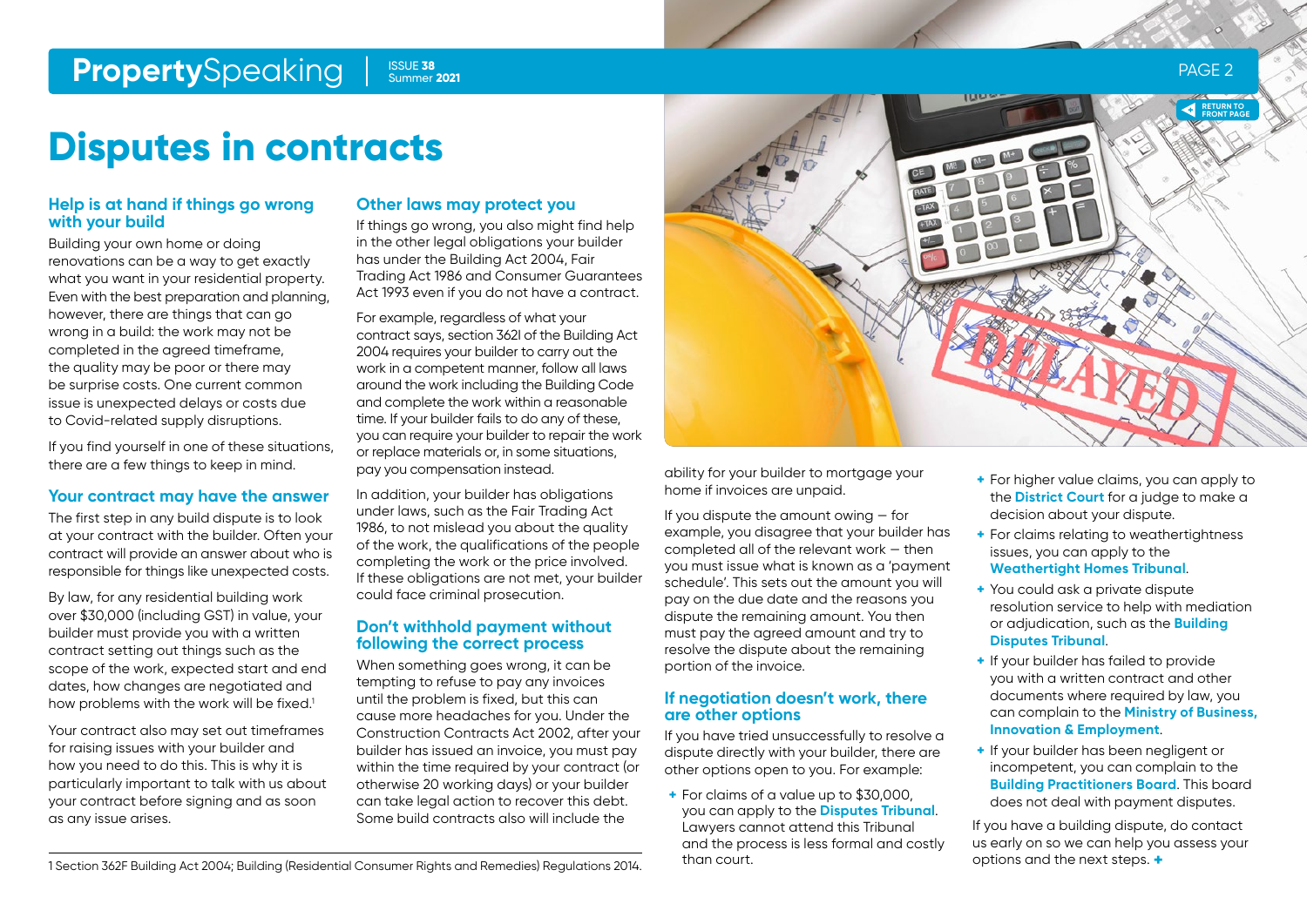### <span id="page-1-0"></span>**Property**Speaking Supers 2021 **Example 2021 PAGE 2**

### Summer **2021**

**Disputes in contracts**

### **Help is at hand if things go wrong with your build**

Building your own home or doing renovations can be a way to get exactly what you want in your residential property. Even with the best preparation and planning, however, there are things that can go wrong in a build: the work may not be completed in the agreed timeframe, the quality may be poor or there may be surprise costs. One current common issue is unexpected delays or costs due to Covid-related supply disruptions.

If you find yourself in one of these situations, there are a few things to keep in mind.

### **Your contract may have the answer**

The first step in any build dispute is to look at your contract with the builder. Often your contract will provide an answer about who is responsible for things like unexpected costs.

By law, for any residential building work over \$30,000 (including GST) in value, your builder must provide you with a written contract setting out things such as the scope of the work, expected start and end dates, how changes are negotiated and how problems with the work will be fixed.<sup>1</sup>

Your contract also may set out timeframes for raising issues with your builder and how you need to do this. This is why it is particularly important to talk with us about your contract before signing and as soon as any issue arises.

### **Other laws may protect you**

If things go wrong, you also might find help in the other legal obligations your builder has under the Building Act 2004, Fair Trading Act 1986 and Consumer Guarantees Act 1993 even if you do not have a contract.

For example, regardless of what your contract says, section 362I of the Building Act 2004 requires your builder to carry out the work in a competent manner, follow all laws around the work including the Building Code and complete the work within a reasonable time. If your builder fails to do any of these, you can require your builder to repair the work or replace materials or, in some situations, pay you compensation instead.

In addition, your builder has obligations under laws, such as the Fair Trading Act 1986, to not mislead you about the quality of the work, the qualifications of the people completing the work or the price involved. If these obligations are not met, your builder could face criminal prosecution.

### **Don't withhold payment without following the correct process**

When something goes wrong, it can be tempting to refuse to pay any invoices until the problem is fixed, but this can cause more headaches for you. Under the Construction Contracts Act 2002, after your builder has issued an invoice, you must pay within the time required by your contract (or otherwise 20 working days) or your builder can take legal action to recover this debt. Some build contracts also will include the



ability for your builder to mortgage your home if invoices are unpaid.

If you dispute the amount owing — for example, you disagree that your builder has completed all of the relevant work — then you must issue what is known as a 'payment schedule'. This sets out the amount you will pay on the due date and the reasons you dispute the remaining amount. You then must pay the agreed amount and try to resolve the dispute about the remaining portion of the invoice.

### **If negotiation doesn't work, there are other options**

If you have tried unsuccessfully to resolve a dispute directly with your builder, there are other options open to you. For example:

**+** For claims of a value up to \$30,000, you can apply to the **[Disputes Tribunal](https://disputestribunal.govt.nz/)**. Lawyers cannot attend this Tribunal and the process is less formal and costly than court.

- **+** For higher value claims, you can apply to the **[District Court](https://www.justice.govt.nz/courts/civil/)** for a judge to make a decision about your dispute.
- **+** For claims relating to weathertightness issues, you can apply to the **[Weathertight Homes Tribunal](https://www.justice.govt.nz/tribunals/weathertight-homes/)**.
- **+** You could ask a private dispute resolution service to help with mediation or adjudication, such as the **[Building](http://www.buildingdisputestribunal.co.nz/)  [Disputes Tribunal](http://www.buildingdisputestribunal.co.nz/)**.
- **+** If your builder has failed to provide you with a written contract and other documents where required by law, you can complain to the **[Ministry of Business,](https://www.building.govt.nz/assets/Uploads/resolving-problems/building-act-complaint-form.pdf)  [Innovation & Employment](https://www.building.govt.nz/assets/Uploads/resolving-problems/building-act-complaint-form.pdf)**.
- **+** If your builder has been negligent or incompetent, you can complain to the **[Building Practitioners Board](https://www.lbp.govt.nz/complaints-and-past-decisions/making-a-complaint/)**. This board does not deal with payment disputes.

If you have a building dispute, do contact us early on so we can help you assess your options and the next steps. **+**

1 Section 362F Building Act 2004; Building (Residential Consumer Rights and Remedies) Regulations 2014.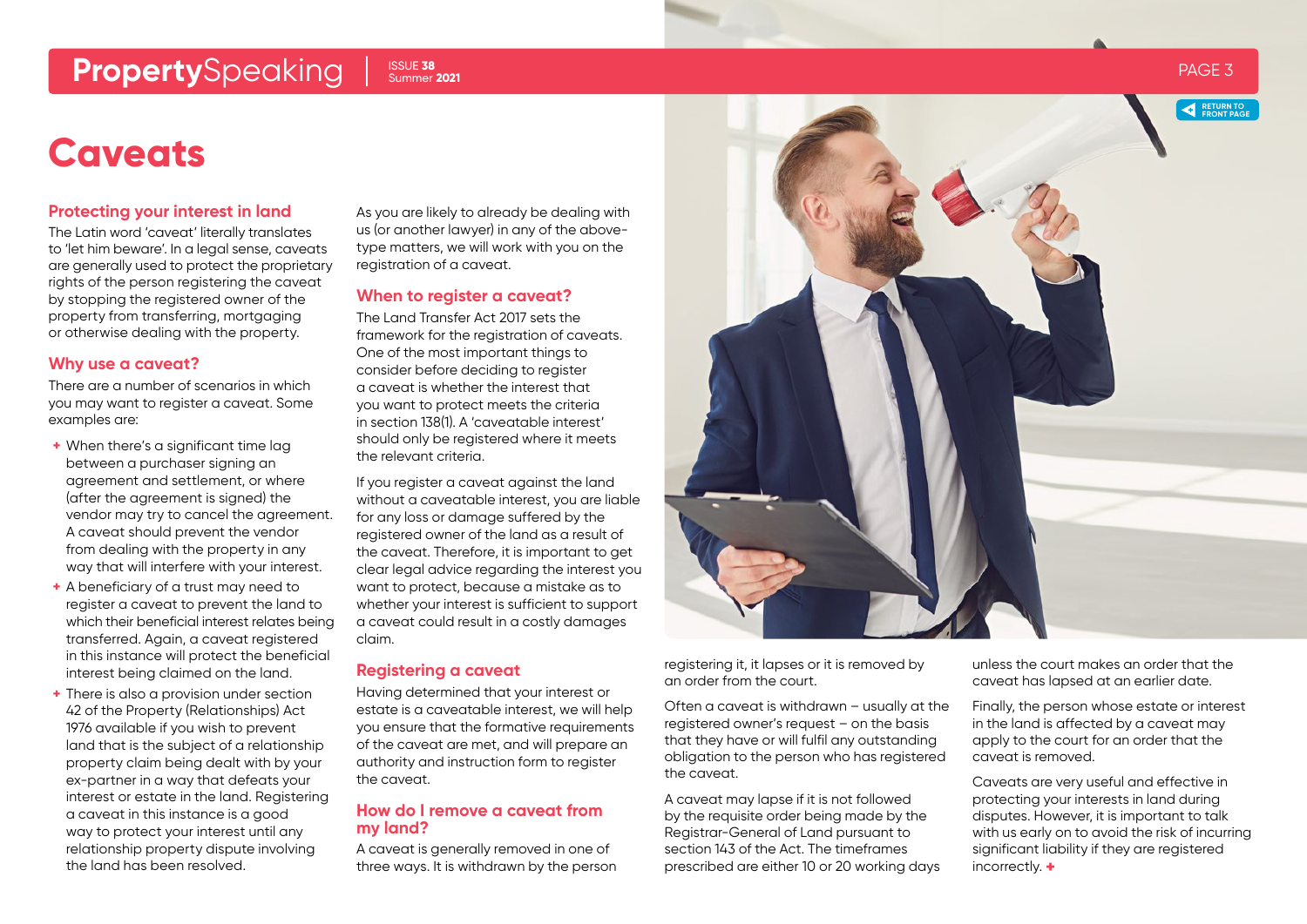### <span id="page-2-0"></span>**Property**Speaking PSUE 38 ammer 2021

#### ISSUE **38** Summer **2021**

### **Caveats**

### **Protecting your interest in land**

The Latin word 'caveat' literally translates to 'let him beware'. In a legal sense, caveats are generally used to protect the proprietary rights of the person registering the caveat by stopping the registered owner of the property from transferring, mortgaging or otherwise dealing with the property.

### **Why use a caveat?**

There are a number of scenarios in which you may want to register a caveat. Some examples are:

- **+** When there's a significant time lag between a purchaser signing an agreement and settlement, or where (after the agreement is signed) the vendor may try to cancel the agreement. A caveat should prevent the vendor from dealing with the property in any way that will interfere with your interest.
- **+** A beneficiary of a trust may need to register a caveat to prevent the land to which their beneficial interest relates being transferred. Again, a caveat registered in this instance will protect the beneficial interest being claimed on the land.
- **+** There is also a provision under section 42 of the Property (Relationships) Act 1976 available if you wish to prevent land that is the subject of a relationship property claim being dealt with by your ex-partner in a way that defeats your interest or estate in the land. Registering a caveat in this instance is a good way to protect your interest until any relationship property dispute involving the land has been resolved.

As you are likely to already be dealing with us (or another lawyer) in any of the abovetype matters, we will work with you on the registration of a caveat.

### **When to register a caveat?**

The Land Transfer Act 2017 sets the framework for the registration of caveats. One of the most important things to consider before deciding to register a caveat is whether the interest that you want to protect meets the criteria in section 138(1). A 'caveatable interest' should only be registered where it meets the relevant criteria.

If you register a caveat against the land without a caveatable interest, you are liable for any loss or damage suffered by the registered owner of the land as a result of the caveat. Therefore, it is important to get clear legal advice regarding the interest you want to protect, because a mistake as to whether your interest is sufficient to support a caveat could result in a costly damages claim.

### **Registering a caveat**

Having determined that your interest or estate is a caveatable interest, we will help you ensure that the formative requirements of the caveat are met, and will prepare an authority and instruction form to register the caveat.

### **How do I remove a caveat from my land?**

A caveat is generally removed in one of three ways. It is withdrawn by the person



registering it, it lapses or it is removed by an order from the court.

Often a caveat is withdrawn – usually at the registered owner's request – on the basis that they have or will fulfil any outstanding obligation to the person who has registered the caveat.

A caveat may lapse if it is not followed by the requisite order being made by the Registrar-General of Land pursuant to section 143 of the Act. The timeframes prescribed are either 10 or 20 working days unless the court makes an order that the caveat has lapsed at an earlier date.

Finally, the person whose estate or interest in the land is affected by a caveat may apply to the court for an order that the caveat is removed.

Caveats are very useful and effective in protecting your interests in land during disputes. However, it is important to talk with us early on to avoid the risk of incurring significant liability if they are registered incorrectly. **+**

**RETURN TO [FRONT PAGE](#page-0-0)**